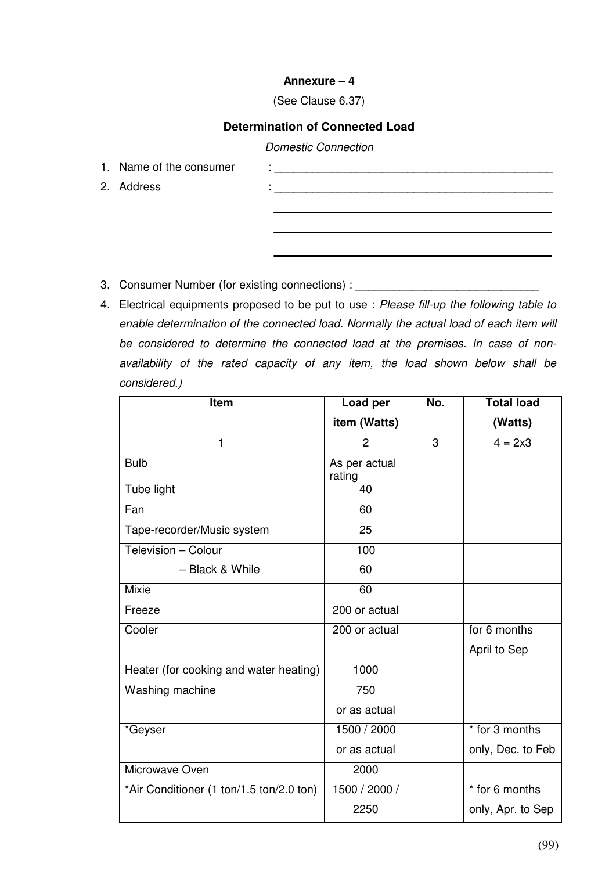## **Annexure – 4**

## (See Clause 6.37)

## **Determination of Connected Load**

## Domestic Connection

- 
- 
- 1. Name of the consumer : \_\_\_\_\_\_\_\_\_\_\_\_\_\_\_\_\_\_\_\_\_\_\_\_\_\_\_\_\_\_\_\_\_\_\_\_\_\_\_\_\_\_\_\_ 2. Address : \_\_\_\_\_\_\_\_\_\_\_\_\_\_\_\_\_\_\_\_\_\_\_\_\_\_\_\_\_\_\_\_\_\_\_\_\_\_\_\_\_\_\_\_
- 3. Consumer Number (for existing connections) : \_\_\_\_\_\_\_\_\_\_\_\_\_\_\_\_\_\_\_\_\_\_\_\_\_\_\_\_\_\_\_\_
- 4. Electrical equipments proposed to be put to use : Please fill-up the following table to enable determination of the connected load. Normally the actual load of each item will be considered to determine the connected load at the premises. In case of nonavailability of the rated capacity of any item, the load shown below shall be considered.)

| Item                                     | Load per                | No. | <b>Total load</b> |
|------------------------------------------|-------------------------|-----|-------------------|
|                                          | item (Watts)            |     | (Watts)           |
| $\mathbf{1}$                             | $\overline{2}$          | 3   | $4 = 2x3$         |
| <b>Bulb</b>                              | As per actual<br>rating |     |                   |
| Tube light                               | 40                      |     |                   |
| Fan                                      | 60                      |     |                   |
| Tape-recorder/Music system               | 25                      |     |                   |
| Television - Colour                      | 100                     |     |                   |
| - Black & While                          | 60                      |     |                   |
| <b>Mixie</b>                             | 60                      |     |                   |
| Freeze                                   | 200 or actual           |     |                   |
| Cooler                                   | 200 or actual           |     | for 6 months      |
|                                          |                         |     | April to Sep      |
| Heater (for cooking and water heating)   | 1000                    |     |                   |
| Washing machine                          | 750                     |     |                   |
|                                          | or as actual            |     |                   |
| *Geyser                                  | 1500 / 2000             |     | * for 3 months    |
|                                          | or as actual            |     | only, Dec. to Feb |
| Microwave Oven                           | 2000                    |     |                   |
| *Air Conditioner (1 ton/1.5 ton/2.0 ton) | 1500 / 2000 /           |     | * for 6 months    |
|                                          | 2250                    |     | only, Apr. to Sep |